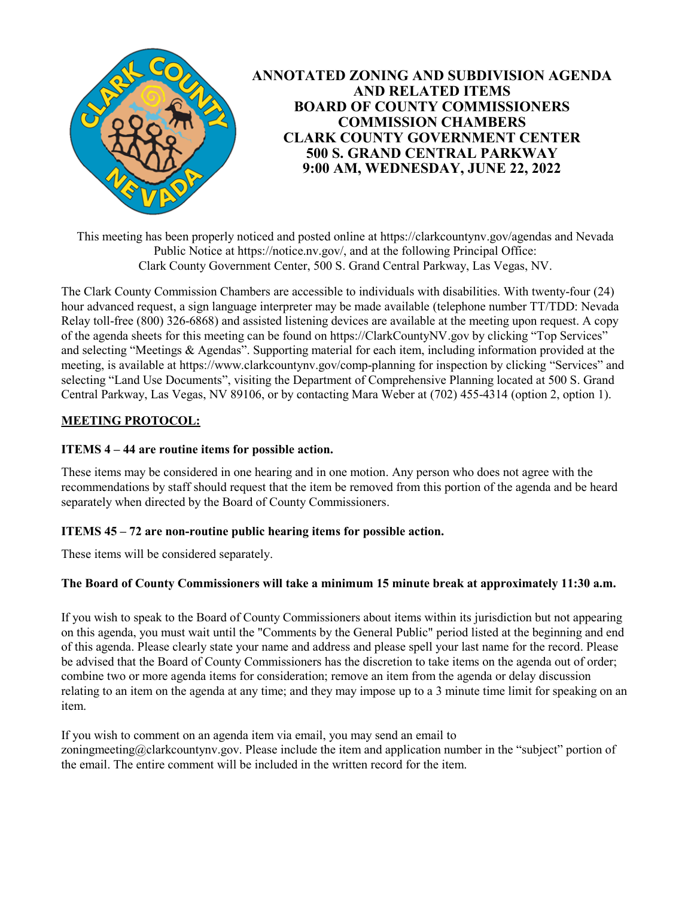

This meeting has been properly noticed and posted online at https://clarkcountynv.gov/agendas and Nevada Public Notice at https://notice.nv.gov/, and at the following Principal Office: Clark County Government Center, 500 S. Grand Central Parkway, Las Vegas, NV.

The Clark County Commission Chambers are accessible to individuals with disabilities. With twenty-four (24) hour advanced request, a sign language interpreter may be made available (telephone number TT/TDD: Nevada Relay toll-free (800) 326-6868) and assisted listening devices are available at the meeting upon request. A copy of the agenda sheets for this meeting can be found on https://ClarkCountyNV.gov by clicking "Top Services" and selecting "Meetings & Agendas". Supporting material for each item, including information provided at the meeting, is available at https://www.clarkcountynv.gov/comp-planning for inspection by clicking "Services" and selecting "Land Use Documents", visiting the Department of Comprehensive Planning located at 500 S. Grand Central Parkway, Las Vegas, NV 89106, or by contacting Mara Weber at (702) 455-4314 (option 2, option 1).

# **MEETING PROTOCOL:**

### **ITEMS 4 – 44 are routine items for possible action.**

These items may be considered in one hearing and in one motion. Any person who does not agree with the recommendations by staff should request that the item be removed from this portion of the agenda and be heard separately when directed by the Board of County Commissioners.

## **ITEMS 45 – 72 are non-routine public hearing items for possible action.**

These items will be considered separately.

#### **The Board of County Commissioners will take a minimum 15 minute break at approximately 11:30 a.m.**

If you wish to speak to the Board of County Commissioners about items within its jurisdiction but not appearing on this agenda, you must wait until the "Comments by the General Public" period listed at the beginning and end of this agenda. Please clearly state your name and address and please spell your last name for the record. Please be advised that the Board of County Commissioners has the discretion to take items on the agenda out of order; combine two or more agenda items for consideration; remove an item from the agenda or delay discussion relating to an item on the agenda at any time; and they may impose up to a 3 minute time limit for speaking on an item.

If you wish to comment on an agenda item via email, you may send an email to zoningmeeting@clarkcountynv.gov. Please include the item and application number in the "subject" portion of the email. The entire comment will be included in the written record for the item.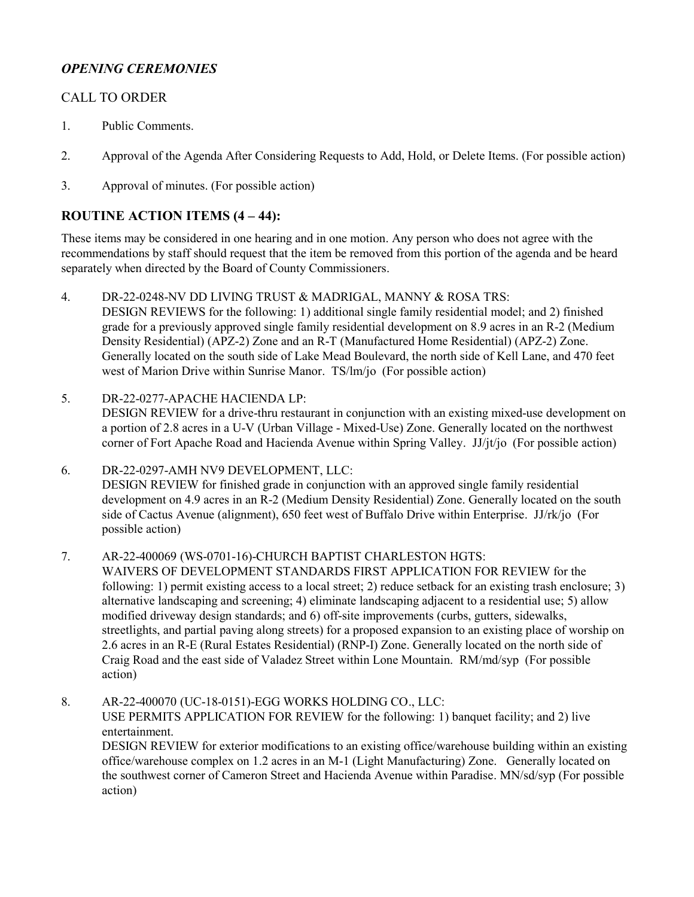# *OPENING CEREMONIES*

# CALL TO ORDER

- 1. [Public Comments.](http://clark.legistar.com/gateway.aspx?m=l&id=/matter.aspx?key=9104)
- 2. [Approval of the Agenda After Considering Requests to Add, Hold, or Delete Items. \(For possible action\)](http://clark.legistar.com/gateway.aspx?m=l&id=/matter.aspx?key=9105)
- 3. [Approval of minutes. \(For possible action\)](http://clark.legistar.com/gateway.aspx?m=l&id=/matter.aspx?key=9106)

# **ROUTINE ACTION ITEMS (4 – 44):**

These items may be considered in one hearing and in one motion. Any person who does not agree with the recommendations by staff should request that the item be removed from this portion of the agenda and be heard separately when directed by the Board of County Commissioners.

- 4. DR-22-0248-NV DD LIVING TRUST & MADRIGAL, MANNY & ROSA TRS: DESIGN REVIEWS for the following: 1) additional single family residential model; and 2) finished grade for a previously approved single family residential development on 8.9 acres in an R-2 (Medium Density Residential) (APZ-2) Zone and an R-T (Manufactured Home Residential) (APZ-2) Zone. [Generally located on the south side of Lake Mead Boulevard, the north side of Kell Lane, and 470 feet](http://clark.legistar.com/gateway.aspx?m=l&id=/matter.aspx?key=9158)  west of Marion Drive within Sunrise Manor. TS/lm/jo (For possible action)
- 5. DR-22-0277-APACHE HACIENDA LP: [DESIGN REVIEW for a drive-thru restaurant in conjunction with an existing mixed-use development on](http://clark.legistar.com/gateway.aspx?m=l&id=/matter.aspx?key=9159)  a portion of 2.8 acres in a U-V (Urban Village - Mixed-Use) Zone. Generally located on the northwest corner of Fort Apache Road and Hacienda Avenue within Spring Valley. JJ/jt/jo (For possible action)

6. DR-22-0297-AMH NV9 DEVELOPMENT, LLC: DESIGN REVIEW for finished grade in conjunction with an approved single family residential [development on 4.9 acres in an R-2 \(Medium Density Residential\) Zone. Generally located on the south](http://clark.legistar.com/gateway.aspx?m=l&id=/matter.aspx?key=9160)  side of Cactus Avenue (alignment), 650 feet west of Buffalo Drive within Enterprise. JJ/rk/jo (For possible action)

7. AR-22-400069 (WS-0701-16)-CHURCH BAPTIST CHARLESTON HGTS:

WAIVERS OF DEVELOPMENT STANDARDS FIRST APPLICATION FOR REVIEW for the [following: 1\) permit existing access to a local street; 2\) reduce setback for an existing trash enclosure; 3\)](http://clark.legistar.com/gateway.aspx?m=l&id=/matter.aspx?key=9161)  alternative landscaping and screening; 4) eliminate landscaping adjacent to a residential use; 5) allow modified driveway design standards; and 6) off-site improvements (curbs, gutters, sidewalks, streetlights, and partial paving along streets) for a proposed expansion to an existing place of worship on 2.6 acres in an R-E (Rural Estates Residential) (RNP-I) Zone. Generally located on the north side of Craig Road and the east side of Valadez Street within Lone Mountain. RM/md/syp (For possible action)

8. AR-22-400070 (UC-18-0151)-EGG WORKS HOLDING CO., LLC: USE PERMITS APPLICATION FOR REVIEW for the following: 1) banquet facility; and 2) live entertainment. [DESIGN REVIEW for exterior modifications to an existing office/warehouse building within an existing](http://clark.legistar.com/gateway.aspx?m=l&id=/matter.aspx?key=9162) 

office/warehouse complex on 1.2 acres in an M-1 (Light Manufacturing) Zone. Generally located on the southwest corner of Cameron Street and Hacienda Avenue within Paradise. MN/sd/syp (For possible action)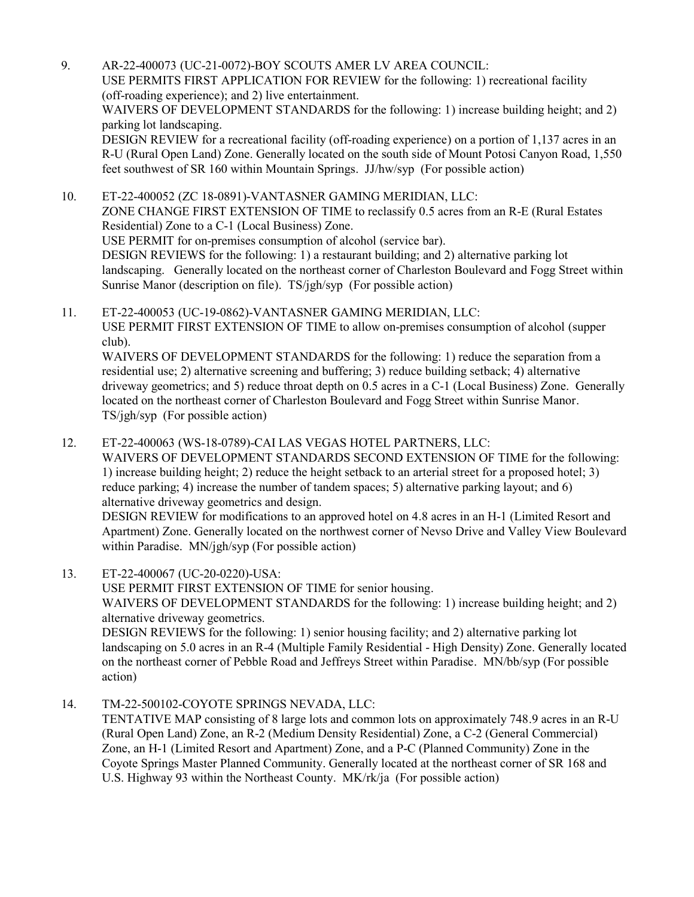9. AR-22-400073 (UC-21-0072)-BOY SCOUTS AMER LV AREA COUNCIL: USE PERMITS FIRST APPLICATION FOR REVIEW for the following: 1) recreational facility (off-roading experience); and 2) live entertainment. WAIVERS OF DEVELOPMENT STANDARDS for the following: 1) increase building height; and 2)

parking lot landscaping.

DESIGN REVIEW for a recreational facility (off-roading experience) on a portion of 1,137 acres in an [R-U \(Rural Open Land\) Zone. Generally located on the south side of Mount Potosi Canyon Road, 1,550](http://clark.legistar.com/gateway.aspx?m=l&id=/matter.aspx?key=9163)  feet southwest of SR 160 within Mountain Springs. JJ/hw/syp (For possible action)

10. ET-22-400052 (ZC 18-0891)-VANTASNER GAMING MERIDIAN, LLC: ZONE CHANGE FIRST EXTENSION OF TIME to reclassify 0.5 acres from an R-E (Rural Estates Residential) Zone to a C-1 (Local Business) Zone. USE PERMIT for on-premises consumption of alcohol (service bar). DESIGN REVIEWS for the following: 1) a restaurant building; and 2) alternative parking lot [landscaping. Generally located on the northeast corner of Charleston Boulevard and Fogg Street within](http://clark.legistar.com/gateway.aspx?m=l&id=/matter.aspx?key=9164)  Sunrise Manor (description on file). TS/jgh/syp (For possible action)

11. ET-22-400053 (UC-19-0862)-VANTASNER GAMING MERIDIAN, LLC: USE PERMIT FIRST EXTENSION OF TIME to allow on-premises consumption of alcohol (supper club).

WAIVERS OF DEVELOPMENT STANDARDS for the following: 1) reduce the separation from a residential use; 2) alternative screening and buffering; 3) reduce building setback; 4) alternative [driveway geometrics; and 5\) reduce throat depth on 0.5 acres in a C-1 \(Local Business\) Zone. Generally](http://clark.legistar.com/gateway.aspx?m=l&id=/matter.aspx?key=9165)  located on the northeast corner of Charleston Boulevard and Fogg Street within Sunrise Manor. TS/jgh/syp (For possible action)

12. ET-22-400063 (WS-18-0789)-CAI LAS VEGAS HOTEL PARTNERS, LLC: WAIVERS OF DEVELOPMENT STANDARDS SECOND EXTENSION OF TIME for the following: 1) increase building height; 2) reduce the height setback to an arterial street for a proposed hotel; 3) reduce parking; 4) increase the number of tandem spaces; 5) alternative parking layout; and 6) alternative driveway geometrics and design. DESIGN REVIEW for modifications to an approved hotel on 4.8 acres in an H-1 (Limited Resort and

[Apartment\) Zone. Generally located on the northwest corner of Nevso Drive and Valley View Boulevard](http://clark.legistar.com/gateway.aspx?m=l&id=/matter.aspx?key=9166)  within Paradise. MN/jgh/syp (For possible action)

13. ET-22-400067 (UC-20-0220)-USA:

action)

USE PERMIT FIRST EXTENSION OF TIME for senior housing. WAIVERS OF DEVELOPMENT STANDARDS for the following: 1) increase building height; and 2) alternative driveway geometrics. DESIGN REVIEWS for the following: 1) senior housing facility; and 2) alternative parking lot [landscaping on 5.0 acres in an R-4 \(Multiple Family Residential - High Density\) Zone. Generally located](http://clark.legistar.com/gateway.aspx?m=l&id=/matter.aspx?key=9167)  on the northeast corner of Pebble Road and Jeffreys Street within Paradise. MN/bb/syp (For possible

14. TM-22-500102-COYOTE SPRINGS NEVADA, LLC:

[TENTATIVE MAP consisting of 8 large lots and common lots on approximately 748.9 acres in an R-U](http://clark.legistar.com/gateway.aspx?m=l&id=/matter.aspx?key=9168)  (Rural Open Land) Zone, an R-2 (Medium Density Residential) Zone, a C-2 (General Commercial) Zone, an H-1 (Limited Resort and Apartment) Zone, and a P-C (Planned Community) Zone in the Coyote Springs Master Planned Community. Generally located at the northeast corner of SR 168 and U.S. Highway 93 within the Northeast County. MK/rk/ja (For possible action)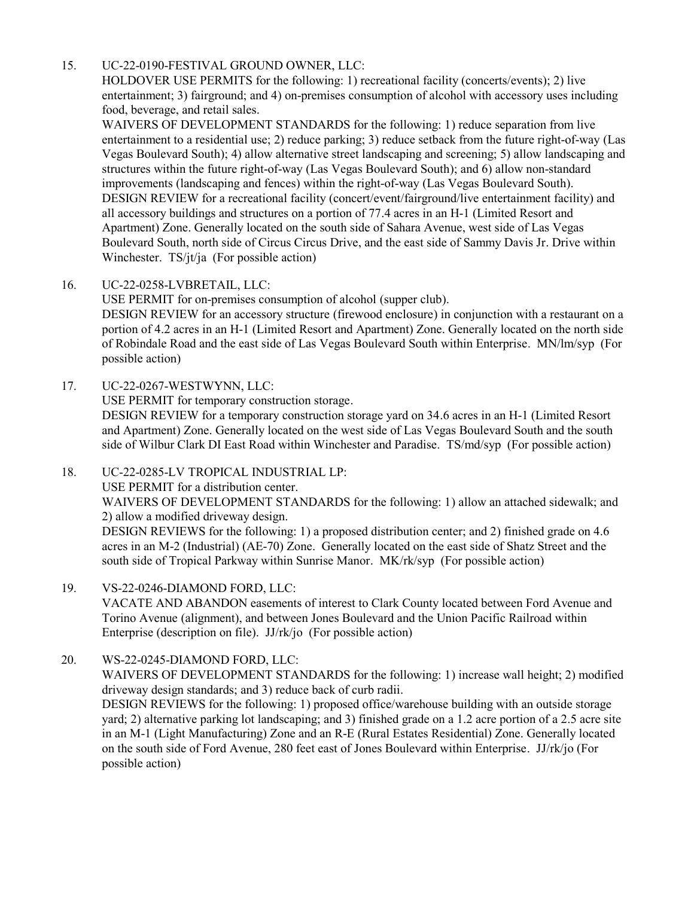## 15. UC-22-0190-FESTIVAL GROUND OWNER, LLC:

HOLDOVER USE PERMITS for the following: 1) recreational facility (concerts/events); 2) live entertainment; 3) fairground; and 4) on-premises consumption of alcohol with accessory uses including food, beverage, and retail sales.

WAIVERS OF DEVELOPMENT STANDARDS for the following: 1) reduce separation from live [entertainment to a residential use; 2\) reduce parking; 3\) reduce setback from the future right-of-way \(Las](http://clark.legistar.com/gateway.aspx?m=l&id=/matter.aspx?key=9169)  Vegas Boulevard South); 4) allow alternative street landscaping and screening; 5) allow landscaping and structures within the future right-of-way (Las Vegas Boulevard South); and 6) allow non-standard improvements (landscaping and fences) within the right-of-way (Las Vegas Boulevard South). DESIGN REVIEW for a recreational facility (concert/event/fairground/live entertainment facility) and all accessory buildings and structures on a portion of 77.4 acres in an H-1 (Limited Resort and Apartment) Zone. Generally located on the south side of Sahara Avenue, west side of Las Vegas Boulevard South, north side of Circus Circus Drive, and the east side of Sammy Davis Jr. Drive within Winchester. TS/jt/ja (For possible action)

## 16. UC-22-0258-LVBRETAIL, LLC:

USE PERMIT for on-premises consumption of alcohol (supper club). [DESIGN REVIEW for an accessory structure \(firewood enclosure\) in conjunction with a restaurant on a](http://clark.legistar.com/gateway.aspx?m=l&id=/matter.aspx?key=9170)  portion of 4.2 acres in an H-1 (Limited Resort and Apartment) Zone. Generally located on the north side of Robindale Road and the east side of Las Vegas Boulevard South within Enterprise. MN/lm/syp (For possible action)

## 17. UC-22-0267-WESTWYNN, LLC:

USE PERMIT for temporary construction storage.

DESIGN REVIEW for a temporary construction storage yard on 34.6 acres in an H-1 (Limited Resort [and Apartment\) Zone. Generally located on the west side of Las Vegas Boulevard South and the south](http://clark.legistar.com/gateway.aspx?m=l&id=/matter.aspx?key=9171)  side of Wilbur Clark DI East Road within Winchester and Paradise. TS/md/syp (For possible action)

## 18. UC-22-0285-LV TROPICAL INDUSTRIAL LP:

USE PERMIT for a distribution center.

[WAIVERS OF DEVELOPMENT STANDARDS for the following: 1\) allow an attached sidewalk; and](http://clark.legistar.com/gateway.aspx?m=l&id=/matter.aspx?key=9172)  2) allow a modified driveway design.

DESIGN REVIEWS for the following: 1) a proposed distribution center; and 2) finished grade on 4.6 acres in an M-2 (Industrial) (AE-70) Zone. Generally located on the east side of Shatz Street and the south side of Tropical Parkway within Sunrise Manor. MK/rk/syp (For possible action)

## 19. VS-22-0246-DIAMOND FORD, LLC:

[VACATE AND ABANDON easements of interest to Clark County located between Ford Avenue and](http://clark.legistar.com/gateway.aspx?m=l&id=/matter.aspx?key=9173)  Torino Avenue (alignment), and between Jones Boulevard and the Union Pacific Railroad within Enterprise (description on file). JJ/rk/jo (For possible action)

# 20. WS-22-0245-DIAMOND FORD, LLC:

[WAIVERS OF DEVELOPMENT STANDARDS for the following: 1\) increase wall height; 2\) modified](http://clark.legistar.com/gateway.aspx?m=l&id=/matter.aspx?key=9174)  driveway design standards; and 3) reduce back of curb radii.

DESIGN REVIEWS for the following: 1) proposed office/warehouse building with an outside storage yard; 2) alternative parking lot landscaping; and 3) finished grade on a 1.2 acre portion of a 2.5 acre site in an M-1 (Light Manufacturing) Zone and an R-E (Rural Estates Residential) Zone. Generally located on the south side of Ford Avenue, 280 feet east of Jones Boulevard within Enterprise. JJ/rk/jo (For possible action)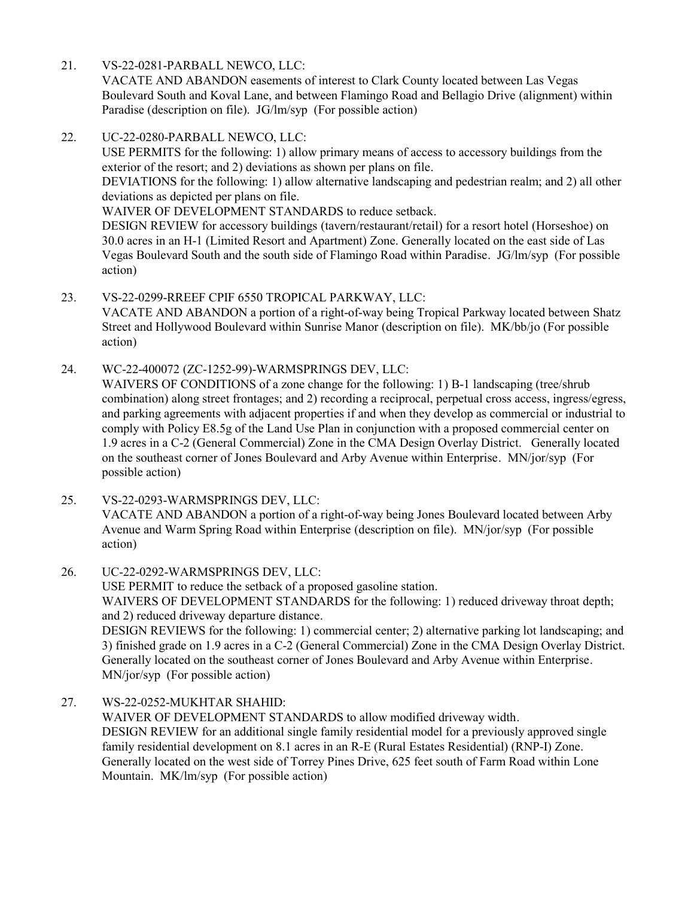21. VS-22-0281-PARBALL NEWCO, LLC:

VACATE AND ABANDON easements of interest to Clark County located between Las Vegas [Boulevard South and Koval Lane, and between Flamingo Road and Bellagio Drive \(alignment\) within](http://clark.legistar.com/gateway.aspx?m=l&id=/matter.aspx?key=9175)  Paradise (description on file). JG/lm/syp (For possible action)

22. UC-22-0280-PARBALL NEWCO, LLC:

USE PERMITS for the following: 1) allow primary means of access to accessory buildings from the exterior of the resort; and 2) deviations as shown per plans on file.

[DEVIATIONS for the following: 1\) allow alternative landscaping and pedestrian realm; and 2\) all other](http://clark.legistar.com/gateway.aspx?m=l&id=/matter.aspx?key=9176)  deviations as depicted per plans on file.

WAIVER OF DEVELOPMENT STANDARDS to reduce setback.

DESIGN REVIEW for accessory buildings (tavern/restaurant/retail) for a resort hotel (Horseshoe) on 30.0 acres in an H-1 (Limited Resort and Apartment) Zone. Generally located on the east side of Las Vegas Boulevard South and the south side of Flamingo Road within Paradise. JG/lm/syp (For possible action)

23. VS-22-0299-RREEF CPIF 6550 TROPICAL PARKWAY, LLC:

[VACATE AND ABANDON a portion of a right-of-way being Tropical Parkway located between Shatz](http://clark.legistar.com/gateway.aspx?m=l&id=/matter.aspx?key=9177)  Street and Hollywood Boulevard within Sunrise Manor (description on file). MK/bb/jo (For possible action)

24. WC-22-400072 (ZC-1252-99)-WARMSPRINGS DEV, LLC:

WAIVERS OF CONDITIONS of a zone change for the following: 1) B-1 landscaping (tree/shrub [combination\) along street frontages; and 2\) recording a reciprocal, perpetual cross access, ingress/egress,](http://clark.legistar.com/gateway.aspx?m=l&id=/matter.aspx?key=9178)  and parking agreements with adjacent properties if and when they develop as commercial or industrial to comply with Policy E8.5g of the Land Use Plan in conjunction with a proposed commercial center on 1.9 acres in a C-2 (General Commercial) Zone in the CMA Design Overlay District. Generally located on the southeast corner of Jones Boulevard and Arby Avenue within Enterprise. MN/jor/syp (For possible action)

- 25. VS-22-0293-WARMSPRINGS DEV, LLC: [VACATE AND ABANDON a portion of a right-of-way being Jones Boulevard located between Arby](http://clark.legistar.com/gateway.aspx?m=l&id=/matter.aspx?key=9179)  Avenue and Warm Spring Road within Enterprise (description on file). MN/jor/syp (For possible action)
- 26. UC-22-0292-WARMSPRINGS DEV, LLC: USE PERMIT to reduce the setback of a proposed gasoline station. WAIVERS OF DEVELOPMENT STANDARDS for the following: 1) reduced driveway throat depth; and 2) reduced driveway departure distance. DESIGN REVIEWS for the following: 1) commercial center; 2) alternative parking lot landscaping; and [3\) finished grade on 1.9 acres in a C-2 \(General Commercial\) Zone in the CMA Design Overlay District.](http://clark.legistar.com/gateway.aspx?m=l&id=/matter.aspx?key=9180)  Generally located on the southeast corner of Jones Boulevard and Arby Avenue within Enterprise. MN/jor/syp (For possible action)
- 27. WS-22-0252-MUKHTAR SHAHID: WAIVER OF DEVELOPMENT STANDARDS to allow modified driveway width. [DESIGN REVIEW for an additional single family residential model for a previously approved single](http://clark.legistar.com/gateway.aspx?m=l&id=/matter.aspx?key=9181)  family residential development on 8.1 acres in an R-E (Rural Estates Residential) (RNP-I) Zone. Generally located on the west side of Torrey Pines Drive, 625 feet south of Farm Road within Lone Mountain. MK/lm/syp (For possible action)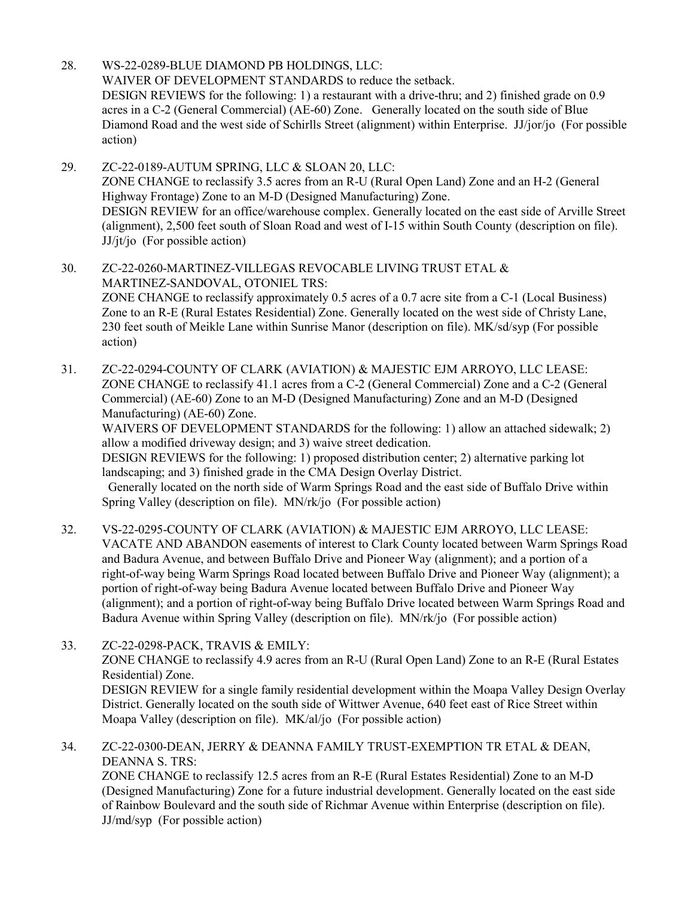28. WS-22-0289-BLUE DIAMOND PB HOLDINGS, LLC: WAIVER OF DEVELOPMENT STANDARDS to reduce the setback. DESIGN REVIEWS for the following: 1) a restaurant with a drive-thru; and 2) finished grade on 0.9 acres in a C-2 (General Commercial) (AE-60) Zone. Generally located on the south side of Blue [Diamond Road and the west side of Schirlls Street \(alignment\) within Enterprise. JJ/jor/jo \(For possible](http://clark.legistar.com/gateway.aspx?m=l&id=/matter.aspx?key=9182)  action)

29. ZC-22-0189-AUTUM SPRING, LLC & SLOAN 20, LLC: ZONE CHANGE to reclassify 3.5 acres from an R-U (Rural Open Land) Zone and an H-2 (General Highway Frontage) Zone to an M-D (Designed Manufacturing) Zone. [DESIGN REVIEW for an office/warehouse complex. Generally located on the east side of Arville Street](http://clark.legistar.com/gateway.aspx?m=l&id=/matter.aspx?key=9183)  (alignment), 2,500 feet south of Sloan Road and west of I-15 within South County (description on file). JJ/jt/jo (For possible action)

30. ZC-22-0260-MARTINEZ-VILLEGAS REVOCABLE LIVING TRUST ETAL & MARTINEZ-SANDOVAL, OTONIEL TRS: [ZONE CHANGE to reclassify approximately 0.5 acres of a 0.7 acre site from a C-1 \(Local Business\)](http://clark.legistar.com/gateway.aspx?m=l&id=/matter.aspx?key=9184)  Zone to an R-E (Rural Estates Residential) Zone. Generally located on the west side of Christy Lane, 230 feet south of Meikle Lane within Sunrise Manor (description on file). MK/sd/syp (For possible action)

31. ZC-22-0294-COUNTY OF CLARK (AVIATION) & MAJESTIC EJM ARROYO, LLC LEASE: ZONE CHANGE to reclassify 41.1 acres from a C-2 (General Commercial) Zone and a C-2 (General Commercial) (AE-60) Zone to an M-D (Designed Manufacturing) Zone and an M-D (Designed Manufacturing) (AE-60) Zone.

[WAIVERS OF DEVELOPMENT STANDARDS for the following: 1\) allow an attached sidewalk; 2\)](http://clark.legistar.com/gateway.aspx?m=l&id=/matter.aspx?key=9185)  allow a modified driveway design; and 3) waive street dedication.

DESIGN REVIEWS for the following: 1) proposed distribution center; 2) alternative parking lot landscaping; and 3) finished grade in the CMA Design Overlay District.

 Generally located on the north side of Warm Springs Road and the east side of Buffalo Drive within Spring Valley (description on file). MN/rk/jo (For possible action)

32. VS-22-0295-COUNTY OF CLARK (AVIATION) & MAJESTIC EJM ARROYO, LLC LEASE: [VACATE AND ABANDON easements of interest to Clark County located between Warm Springs Road](http://clark.legistar.com/gateway.aspx?m=l&id=/matter.aspx?key=9186)  and Badura Avenue, and between Buffalo Drive and Pioneer Way (alignment); and a portion of a right-of-way being Warm Springs Road located between Buffalo Drive and Pioneer Way (alignment); a portion of right-of-way being Badura Avenue located between Buffalo Drive and Pioneer Way (alignment); and a portion of right-of-way being Buffalo Drive located between Warm Springs Road and Badura Avenue within Spring Valley (description on file). MN/rk/jo (For possible action)

33. ZC-22-0298-PACK, TRAVIS & EMILY: ZONE CHANGE to reclassify 4.9 acres from an R-U (Rural Open Land) Zone to an R-E (Rural Estates Residential) Zone. [DESIGN REVIEW for a single family residential development within the Moapa Valley Design Overlay](http://clark.legistar.com/gateway.aspx?m=l&id=/matter.aspx?key=9187)  District. Generally located on the south side of Wittwer Avenue, 640 feet east of Rice Street within Moapa Valley (description on file). MK/al/jo (For possible action)

34. ZC-22-0300-DEAN, JERRY & DEANNA FAMILY TRUST-EXEMPTION TR ETAL & DEAN, DEANNA S. TRS: ZONE CHANGE to reclassify 12.5 acres from an R-E (Rural Estates Residential) Zone to an M-D [\(Designed Manufacturing\) Zone for a future industrial development. Generally located on the east side](http://clark.legistar.com/gateway.aspx?m=l&id=/matter.aspx?key=9188)  of Rainbow Boulevard and the south side of Richmar Avenue within Enterprise (description on file).

JJ/md/syp (For possible action)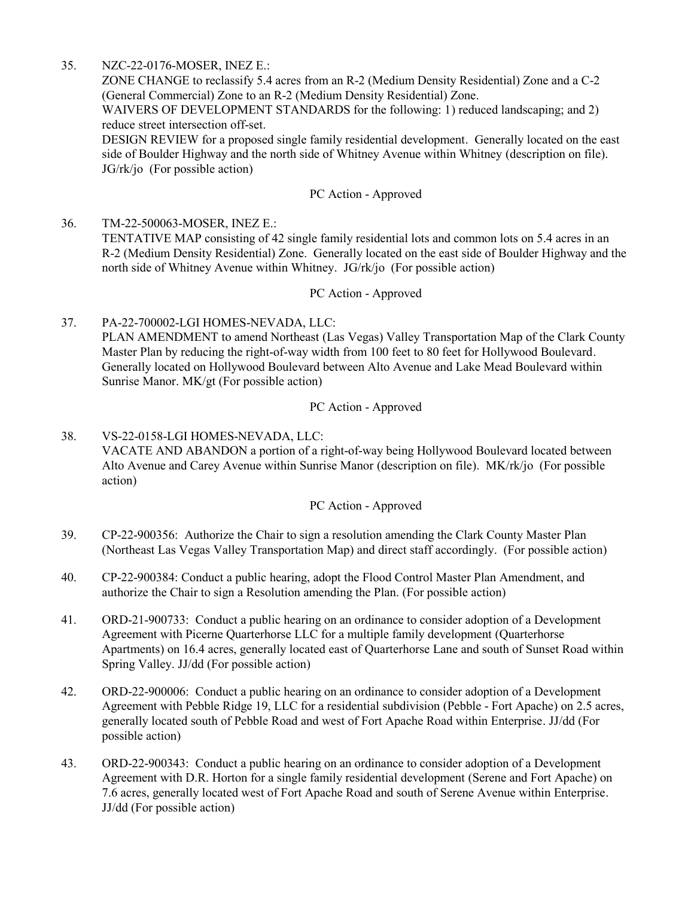## 35. NZC-22-0176-MOSER, INEZ E.:

ZONE CHANGE to reclassify 5.4 acres from an R-2 (Medium Density Residential) Zone and a C-2 (General Commercial) Zone to an R-2 (Medium Density Residential) Zone.

WAIVERS OF DEVELOPMENT STANDARDS for the following: 1) reduced landscaping; and 2) reduce street intersection off-set.

[DESIGN REVIEW for a proposed single family residential development. Generally located on the east](http://clark.legistar.com/gateway.aspx?m=l&id=/matter.aspx?key=9189)  side of Boulder Highway and the north side of Whitney Avenue within Whitney (description on file). JG/rk/jo (For possible action)

#### PC Action - Approved

36. TM-22-500063-MOSER, INEZ E.: TENTATIVE MAP consisting of 42 single family residential lots and common lots on 5.4 acres in an [R-2 \(Medium Density Residential\) Zone. Generally located on the east side of Boulder Highway and the](http://clark.legistar.com/gateway.aspx?m=l&id=/matter.aspx?key=9190)  north side of Whitney Avenue within Whitney. JG/rk/jo (For possible action)

#### PC Action - Approved

#### 37. PA-22-700002-LGI HOMES-NEVADA, LLC:

[PLAN AMENDMENT to amend Northeast \(Las Vegas\) Valley Transportation Map of the Clark County](http://clark.legistar.com/gateway.aspx?m=l&id=/matter.aspx?key=9191)  Master Plan by reducing the right-of-way width from 100 feet to 80 feet for Hollywood Boulevard. Generally located on Hollywood Boulevard between Alto Avenue and Lake Mead Boulevard within Sunrise Manor. MK/gt (For possible action)

#### PC Action - Approved

## 38. VS-22-0158-LGI HOMES-NEVADA, LLC: [VACATE AND ABANDON a portion of a right-of-way being Hollywood Boulevard located between](http://clark.legistar.com/gateway.aspx?m=l&id=/matter.aspx?key=9192)  Alto Avenue and Carey Avenue within Sunrise Manor (description on file). MK/rk/jo (For possible action)

#### PC Action - Approved

- 39. CP-22-900356: Authorize the Chair to sign a resolution amending the Clark County Master Plan [\(Northeast Las Vegas Valley Transportation Map\) and direct staff accordingly. \(For possible action\)](http://clark.legistar.com/gateway.aspx?m=l&id=/matter.aspx?key=9193)
- 40. [CP-22-900384: Conduct a public hearing, adopt the Flood Control Master Plan Amendment, and](http://clark.legistar.com/gateway.aspx?m=l&id=/matter.aspx?key=9194)  authorize the Chair to sign a Resolution amending the Plan. (For possible action)
- 41. ORD-21-900733: Conduct a public hearing on an ordinance to consider adoption of a Development Agreement with Picerne Quarterhorse LLC for a multiple family development (Quarterhorse [Apartments\) on 16.4 acres, generally located east of Quarterhorse Lane and south of Sunset Road within](http://clark.legistar.com/gateway.aspx?m=l&id=/matter.aspx?key=9195)  Spring Valley. JJ/dd (For possible action)
- 42. ORD-22-900006: Conduct a public hearing on an ordinance to consider adoption of a Development [Agreement with Pebble Ridge 19, LLC for a residential subdivision \(Pebble - Fort Apache\) on 2.5 acres,](http://clark.legistar.com/gateway.aspx?m=l&id=/matter.aspx?key=9196)  generally located south of Pebble Road and west of Fort Apache Road within Enterprise. JJ/dd (For possible action)
- 43. ORD-22-900343: Conduct a public hearing on an ordinance to consider adoption of a Development [Agreement with D.R. Horton for a single family residential development \(Serene and Fort Apache\) on](http://clark.legistar.com/gateway.aspx?m=l&id=/matter.aspx?key=9197)  7.6 acres, generally located west of Fort Apache Road and south of Serene Avenue within Enterprise. JJ/dd (For possible action)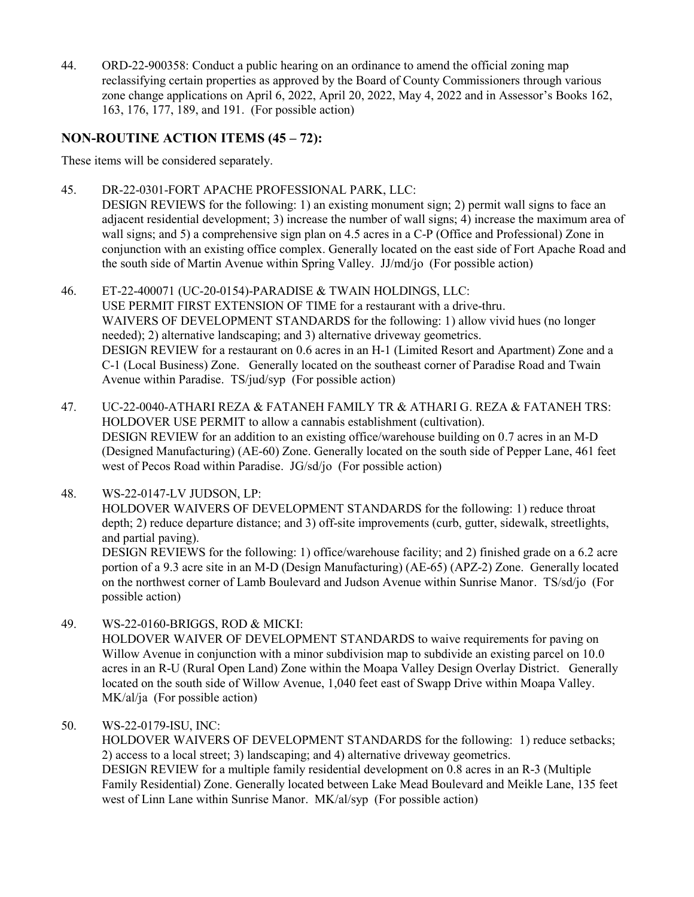44. ORD-22-900358: Conduct a public hearing on an ordinance to amend the official zoning map reclassifying certain properties as approved by the Board of County Commissioners through various [zone change applications on April 6, 2022, April 20, 2022, May 4, 2022 and in Assessor's Books 162,](http://clark.legistar.com/gateway.aspx?m=l&id=/matter.aspx?key=9199)  163, 176, 177, 189, and 191. (For possible action)

# **NON-ROUTINE ACTION ITEMS (45 – 72):**

These items will be considered separately.

45. DR-22-0301-FORT APACHE PROFESSIONAL PARK, LLC:

DESIGN REVIEWS for the following: 1) an existing monument sign; 2) permit wall signs to face an adjacent residential development; 3) increase the number of wall signs; 4) increase the maximum area of wall signs; and 5) a comprehensive sign plan on 4.5 acres in a C-P (Office and Professional) Zone in [conjunction with an existing office complex. Generally located on the east side of Fort Apache Road and](http://clark.legistar.com/gateway.aspx?m=l&id=/matter.aspx?key=9200)  the south side of Martin Avenue within Spring Valley. JJ/md/jo (For possible action)

- 46. ET-22-400071 (UC-20-0154)-PARADISE & TWAIN HOLDINGS, LLC: USE PERMIT FIRST EXTENSION OF TIME for a restaurant with a drive-thru. WAIVERS OF DEVELOPMENT STANDARDS for the following: 1) allow vivid hues (no longer needed); 2) alternative landscaping; and 3) alternative driveway geometrics. [DESIGN REVIEW for a restaurant on 0.6 acres in an H-1 \(Limited Resort and Apartment\) Zone and a](http://clark.legistar.com/gateway.aspx?m=l&id=/matter.aspx?key=9201)  C-1 (Local Business) Zone. Generally located on the southeast corner of Paradise Road and Twain Avenue within Paradise. TS/jud/syp (For possible action)
- 47. UC-22-0040-ATHARI REZA & FATANEH FAMILY TR & ATHARI G. REZA & FATANEH TRS: HOLDOVER USE PERMIT to allow a cannabis establishment (cultivation). DESIGN REVIEW for an addition to an existing office/warehouse building on 0.7 acres in an M-D [\(Designed Manufacturing\) \(AE-60\) Zone. Generally located on the south side of Pepper Lane, 461 feet](http://clark.legistar.com/gateway.aspx?m=l&id=/matter.aspx?key=9202)  west of Pecos Road within Paradise. JG/sd/jo (For possible action)
- 48. WS-22-0147-LV JUDSON, LP: HOLDOVER WAIVERS OF DEVELOPMENT STANDARDS for the following: 1) reduce throat depth; 2) reduce departure distance; and 3) off-site improvements (curb, gutter, sidewalk, streetlights, and partial paving). DESIGN REVIEWS for the following: 1) office/warehouse facility; and 2) finished grade on a 6.2 acre [portion of a 9.3 acre site in an M-D \(Design Manufacturing\) \(AE-65\) \(APZ-2\) Zone. Generally located](http://clark.legistar.com/gateway.aspx?m=l&id=/matter.aspx?key=9203)  on the northwest corner of Lamb Boulevard and Judson Avenue within Sunrise Manor. TS/sd/jo (For possible action)
- 49. WS-22-0160-BRIGGS, ROD & MICKI: HOLDOVER WAIVER OF DEVELOPMENT STANDARDS to waive requirements for paving on Willow Avenue in conjunction with a minor subdivision map to subdivide an existing parcel on 10.0 [acres in an R-U \(Rural Open Land\) Zone within the Moapa Valley Design Overlay District. Generally](http://clark.legistar.com/gateway.aspx?m=l&id=/matter.aspx?key=9204)  located on the south side of Willow Avenue, 1,040 feet east of Swapp Drive within Moapa Valley. MK/al/ja (For possible action)
- 50. WS-22-0179-ISU, INC: HOLDOVER WAIVERS OF DEVELOPMENT STANDARDS for the following: 1) reduce setbacks; 2) access to a local street; 3) landscaping; and 4) alternative driveway geometrics. DESIGN REVIEW for a multiple family residential development on 0.8 acres in an R-3 (Multiple [Family Residential\) Zone. Generally located between Lake Mead Boulevard and Meikle Lane, 135 feet](http://clark.legistar.com/gateway.aspx?m=l&id=/matter.aspx?key=9205)  west of Linn Lane within Sunrise Manor. MK/al/syp (For possible action)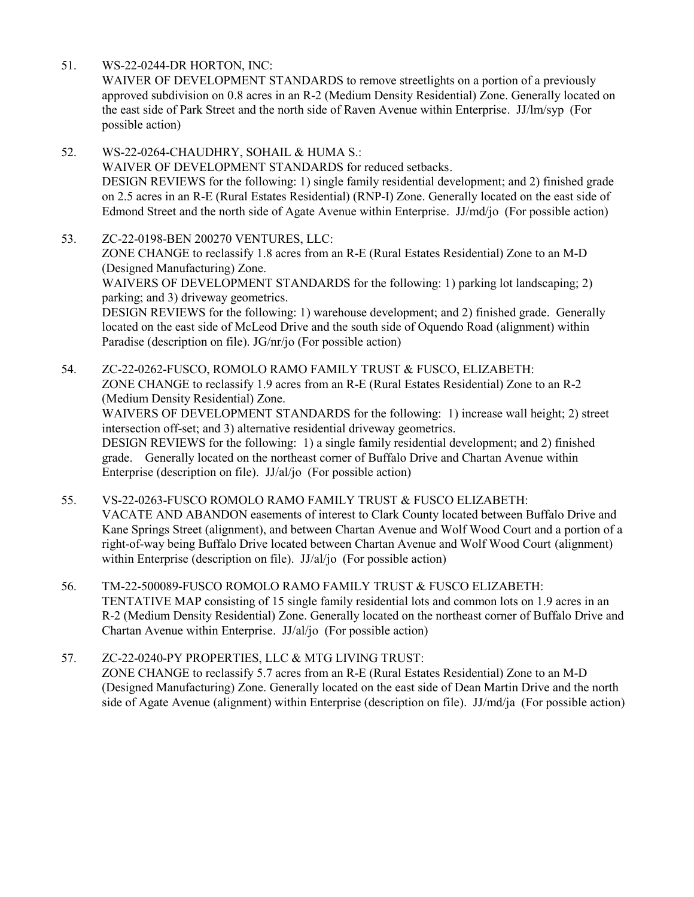51. WS-22-0244-DR HORTON, INC:

WAIVER OF DEVELOPMENT STANDARDS to remove streetlights on a portion of a previously [approved subdivision on 0.8 acres in an R-2 \(Medium Density Residential\) Zone. Generally located on](http://clark.legistar.com/gateway.aspx?m=l&id=/matter.aspx?key=9206)  the east side of Park Street and the north side of Raven Avenue within Enterprise. JJ/lm/syp (For possible action)

- 52. WS-22-0264-CHAUDHRY, SOHAIL & HUMA S.: WAIVER OF DEVELOPMENT STANDARDS for reduced setbacks. [DESIGN REVIEWS for the following: 1\) single family residential development; and 2\) finished grade](http://clark.legistar.com/gateway.aspx?m=l&id=/matter.aspx?key=9207)  on 2.5 acres in an R-E (Rural Estates Residential) (RNP-I) Zone. Generally located on the east side of Edmond Street and the north side of Agate Avenue within Enterprise. JJ/md/jo (For possible action)
- 53. ZC-22-0198-BEN 200270 VENTURES, LLC: ZONE CHANGE to reclassify 1.8 acres from an R-E (Rural Estates Residential) Zone to an M-D (Designed Manufacturing) Zone. WAIVERS OF DEVELOPMENT STANDARDS for the following: 1) parking lot landscaping; 2) parking; and 3) driveway geometrics. [DESIGN REVIEWS for the following: 1\) warehouse development; and 2\) finished grade. Generally](http://clark.legistar.com/gateway.aspx?m=l&id=/matter.aspx?key=9208)  located on the east side of McLeod Drive and the south side of Oquendo Road (alignment) within Paradise (description on file). JG/nr/jo (For possible action)
- 54. ZC-22-0262-FUSCO, ROMOLO RAMO FAMILY TRUST & FUSCO, ELIZABETH: ZONE CHANGE to reclassify 1.9 acres from an R-E (Rural Estates Residential) Zone to an R-2 (Medium Density Residential) Zone. WAIVERS OF DEVELOPMENT STANDARDS for the following: 1) increase wall height; 2) street intersection off-set; and 3) alternative residential driveway geometrics. DESIGN REVIEWS for the following: 1) a single family residential development; and 2) finished grade. Generally located on the northeast corner of Buffalo Drive and Chartan Avenue within Enterprise (description on file). JJ/al/jo (For possible action)
- 55. VS-22-0263-FUSCO ROMOLO RAMO FAMILY TRUST & FUSCO ELIZABETH: VACATE AND ABANDON easements of interest to Clark County located between Buffalo Drive and [Kane Springs Street \(alignment\), and between Chartan Avenue and Wolf Wood Court and a portion of a](http://clark.legistar.com/gateway.aspx?m=l&id=/matter.aspx?key=9210)  right-of-way being Buffalo Drive located between Chartan Avenue and Wolf Wood Court (alignment) within Enterprise (description on file). JJ/al/jo (For possible action)
- 56. TM-22-500089-FUSCO ROMOLO RAMO FAMILY TRUST & FUSCO ELIZABETH: TENTATIVE MAP consisting of 15 single family residential lots and common lots on 1.9 acres in an [R-2 \(Medium Density Residential\) Zone. Generally located on the northeast corner of Buffalo Drive and](http://clark.legistar.com/gateway.aspx?m=l&id=/matter.aspx?key=9211)  Chartan Avenue within Enterprise. JJ/al/jo (For possible action)
- 57. ZC-22-0240-PY PROPERTIES, LLC & MTG LIVING TRUST: ZONE CHANGE to reclassify 5.7 acres from an R-E (Rural Estates Residential) Zone to an M-D (Designed Manufacturing) Zone. Generally located on the east side of Dean Martin Drive and the north [side of Agate Avenue \(alignment\) within Enterprise \(description on file\). JJ/md/ja \(For possible action\)](http://clark.legistar.com/gateway.aspx?m=l&id=/matter.aspx?key=9212)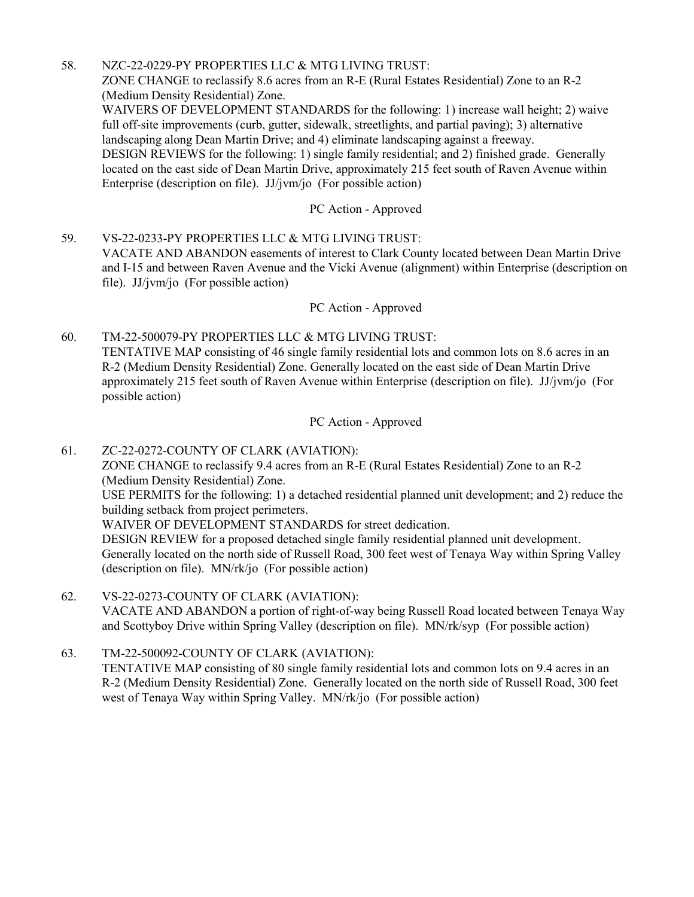### 58. NZC-22-0229-PY PROPERTIES LLC & MTG LIVING TRUST:

ZONE CHANGE to reclassify 8.6 acres from an R-E (Rural Estates Residential) Zone to an R-2 (Medium Density Residential) Zone.

[WAIVERS OF DEVELOPMENT STANDARDS for the following: 1\) increase wall height; 2\) waive](http://clark.legistar.com/gateway.aspx?m=l&id=/matter.aspx?key=9213)  full off-site improvements (curb, gutter, sidewalk, streetlights, and partial paving); 3) alternative landscaping along Dean Martin Drive; and 4) eliminate landscaping against a freeway. DESIGN REVIEWS for the following: 1) single family residential; and 2) finished grade. Generally located on the east side of Dean Martin Drive, approximately 215 feet south of Raven Avenue within Enterprise (description on file). JJ/jvm/jo (For possible action)

## PC Action - Approved

59. VS-22-0233-PY PROPERTIES LLC & MTG LIVING TRUST: VACATE AND ABANDON easements of interest to Clark County located between Dean Martin Drive [and I-15 and between Raven Avenue and the Vicki Avenue \(alignment\) within Enterprise \(description on](http://clark.legistar.com/gateway.aspx?m=l&id=/matter.aspx?key=9214)  file). JJ/jvm/jo (For possible action)

### PC Action - Approved

60. TM-22-500079-PY PROPERTIES LLC & MTG LIVING TRUST: TENTATIVE MAP consisting of 46 single family residential lots and common lots on 8.6 acres in an R-2 (Medium Density Residential) Zone. Generally located on the east side of Dean Martin Drive [approximately 215 feet south of Raven Avenue within Enterprise \(description on file\). JJ/jvm/jo \(For](http://clark.legistar.com/gateway.aspx?m=l&id=/matter.aspx?key=9215)  possible action)

PC Action - Approved

61. ZC-22-0272-COUNTY OF CLARK (AVIATION): ZONE CHANGE to reclassify 9.4 acres from an R-E (Rural Estates Residential) Zone to an R-2 (Medium Density Residential) Zone. [USE PERMITS for the following: 1\) a detached residential planned unit development; and 2\) reduce the](http://clark.legistar.com/gateway.aspx?m=l&id=/matter.aspx?key=9216) 

building setback from project perimeters.

WAIVER OF DEVELOPMENT STANDARDS for street dedication.

DESIGN REVIEW for a proposed detached single family residential planned unit development. Generally located on the north side of Russell Road, 300 feet west of Tenaya Way within Spring Valley (description on file). MN/rk/jo (For possible action)

62. VS-22-0273-COUNTY OF CLARK (AVIATION): [VACATE AND ABANDON a portion of right-of-way being Russell Road located between Tenaya Way](http://clark.legistar.com/gateway.aspx?m=l&id=/matter.aspx?key=9217)  and Scottyboy Drive within Spring Valley (description on file). MN/rk/syp (For possible action)

63. TM-22-500092-COUNTY OF CLARK (AVIATION): TENTATIVE MAP consisting of 80 single family residential lots and common lots on 9.4 acres in an [R-2 \(Medium Density Residential\) Zone. Generally located on the north side of Russell Road, 300 feet](http://clark.legistar.com/gateway.aspx?m=l&id=/matter.aspx?key=9218)  west of Tenaya Way within Spring Valley. MN/rk/jo (For possible action)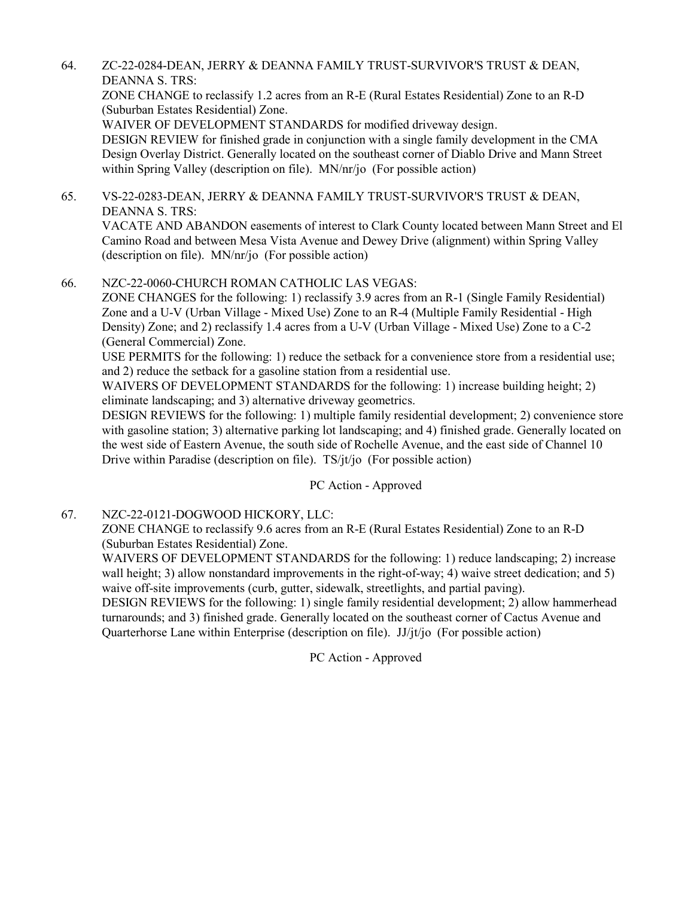64. ZC-22-0284-DEAN, JERRY & DEANNA FAMILY TRUST-SURVIVOR'S TRUST & DEAN, DEANNA S. TRS:

ZONE CHANGE to reclassify 1.2 acres from an R-E (Rural Estates Residential) Zone to an R-D (Suburban Estates Residential) Zone.

WAIVER OF DEVELOPMENT STANDARDS for modified driveway design.

DESIGN REVIEW for finished grade in conjunction with a single family development in the CMA [Design Overlay District. Generally located on the southeast corner of Diablo Drive and Mann Street](http://clark.legistar.com/gateway.aspx?m=l&id=/matter.aspx?key=9219)  within Spring Valley (description on file). MN/nr/jo (For possible action)

65. VS-22-0283-DEAN, JERRY & DEANNA FAMILY TRUST-SURVIVOR'S TRUST & DEAN, DEANNA S. TRS:

[VACATE AND ABANDON easements of interest to Clark County located between Mann Street and El](http://clark.legistar.com/gateway.aspx?m=l&id=/matter.aspx?key=9220)  Camino Road and between Mesa Vista Avenue and Dewey Drive (alignment) within Spring Valley (description on file). MN/nr/jo (For possible action)

66. NZC-22-0060-CHURCH ROMAN CATHOLIC LAS VEGAS:

ZONE CHANGES for the following: 1) reclassify 3.9 acres from an R-1 (Single Family Residential) Zone and a U-V (Urban Village - Mixed Use) Zone to an R-4 (Multiple Family Residential - High Density) Zone; and 2) reclassify 1.4 acres from a U-V (Urban Village - Mixed Use) Zone to a C-2 (General Commercial) Zone.

USE PERMITS for the following: 1) reduce the setback for a convenience store from a residential use; and 2) reduce the setback for a gasoline station from a residential use.

WAIVERS OF DEVELOPMENT STANDARDS for the following: 1) increase building height; 2) eliminate landscaping; and 3) alternative driveway geometrics.

[DESIGN REVIEWS for the following: 1\) multiple family residential development; 2\) convenience store](http://clark.legistar.com/gateway.aspx?m=l&id=/matter.aspx?key=9221)  with gasoline station; 3) alternative parking lot landscaping; and 4) finished grade. Generally located on the west side of Eastern Avenue, the south side of Rochelle Avenue, and the east side of Channel 10 Drive within Paradise (description on file). TS/jt/jo (For possible action)

PC Action - Approved

67. NZC-22-0121-DOGWOOD HICKORY, LLC:

ZONE CHANGE to reclassify 9.6 acres from an R-E (Rural Estates Residential) Zone to an R-D (Suburban Estates Residential) Zone.

WAIVERS OF DEVELOPMENT STANDARDS for the following: 1) reduce landscaping; 2) increase wall height; 3) allow nonstandard improvements in the right-of-way; 4) waive street dedication; and 5) waive off-site improvements (curb, gutter, sidewalk, streetlights, and partial paving).

[DESIGN REVIEWS for the following: 1\) single family residential development; 2\) allow hammerhead](http://clark.legistar.com/gateway.aspx?m=l&id=/matter.aspx?key=9222)  turnarounds; and 3) finished grade. Generally located on the southeast corner of Cactus Avenue and Quarterhorse Lane within Enterprise (description on file). JJ/jt/jo (For possible action)

PC Action - Approved